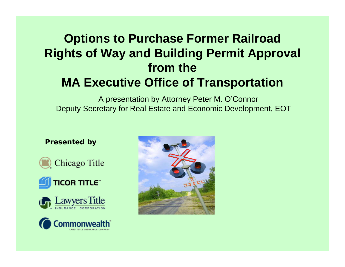## **Options to Purchase Former Railroad Rights of Way and Building Permit Approval from the MA Executive Office of Transportation**

A presentation by Attorney Peter M. O'Connor Deputy Secretary for Real Estate and Economic Development, EOT

**Presented by**









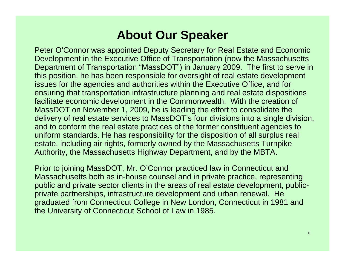## **About Our Speaker**

Peter O'Connor was appointed Deputy Secretary for Real Estate and Economic Development in the Executive Office of Transportation (now the Massachusetts Department of Transportation "MassDOT") in January 2009. The first to serve in this position, he has been responsible for oversight of real estate development issues for the agencies and authorities within the Executive Office, and for ensuring that transportation infrastructure planning and real estate dispositions facilitate economic development in the Commonwealth. With the creation of MassDOT on November 1, 2009, he is leading the effort to consolidate the delivery of real estate services to MassDOT's four divisions into a single division, and to conform the real estate practices of the former constituent agencies to uniform standards. He has responsibility for the disposition of all surplus real estate, including air rights, formerly owned by the Massachusetts Turnpike Authority, the Massachusetts Highway Department, and by the MBTA.

Prior to joining MassDOT, Mr. O'Connor practiced law in Connecticut and Massachusetts both as in-house counsel and in private practice, representing public and private sector clients in the areas of real estate development, publicprivate partnerships, infrastructure development and urban renewal. He graduated from Connecticut College in New London, Connecticut in 1981 and the University of Connecticut School of Law in 1985.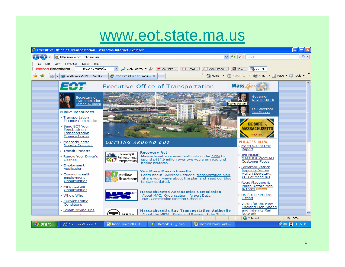## [www.eot.state.ma.us](http://www.eot.state.ma.us/)

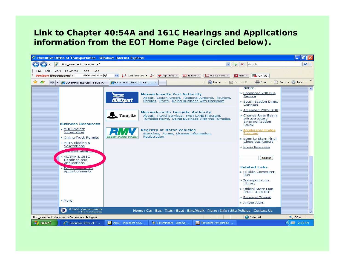## **Link to Chapter 40:54A and 161C Hearings and Applications information from the EOT Home Page (circled below).**

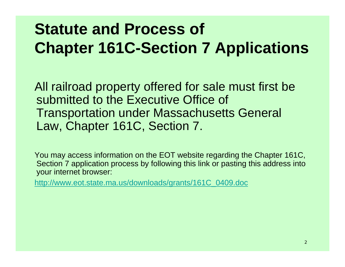# **Statute and Process of Chapter 161C-Section 7 Applications**

All railroad property offered for sale must first be submitted to the Executive Office of Transportation under Massachusetts General Law, Chapter 161C, Section 7.

You may access information on the EOT website regarding the Chapter 161C, Section 7 application process by following this link or pasting this address into your internet browser:

[http://www.eot.state.ma.us/downloads/grants/161C\\_0409.doc](http://www.eot.state.ma.us/downloads/grants/161C_0409.doc)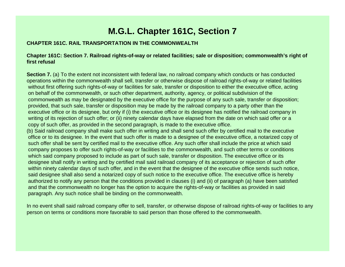## **M.G.L. Chapter 161C, Section 7**

#### **CHAPTER 161C. RAIL TRANSPORTATION IN THE COMMONWEALTH**

**Chapter 161C: Section 7. Railroad rights-of-way or related facilities; sale or disposition; commonwealth's right of first refusal** 

**Section 7.** (a) To the extent not inconsistent with federal law, no railroad company which conducts or has conducted operations within the commonwealth shall sell, transfer or otherwise dispose of railroad rights-of-way or related facilities without first offering such rights-of-way or facilities for sale, transfer or disposition to either the executive office, actin g on behalf of the commonwealth, or such other department, authority, agency, or political subdivision of the commonwealth as may be designated by the executive office for the purpose of any such sale, transfer or disposition; provided, that such sale, transfer or disposition may be made by the railroad company to a party other than the executive office or its designee, but only if (i) the executive office or its designee has notified the railroad company in writing of its rejection of such offer; or (ii) ninety calendar days have elapsed from the date on which said offer or a copy of such offer, as provided in the second paragraph, is made to the executive office.

(b) Said railroad company shall make such offer in writing and shall send such offer by certified mail to the executive office or to its designee. In the event that such offer is made to a designee of the executive office, a notarized copy of such offer shall be sent by certified mail to the executive office. Any such offer shall include the price at which said company proposes to offer such rights-of-way or facilities to the commonwealth, and such other terms or conditions which said company proposed to include as part of such sale, transfer or disposition. The executive office or its designee shall notify in writing and by certified mail said railroad company of its acceptance or rejection of such offer within ninety calendar days of such offer, and in the event that the designee of the executive office sends such notice, said designee shall also send a notarized copy of such notice to the executive office. The executive office is hereby authorized to notify any person that the conditions provided in clauses (i) and (ii) of paragraph (a) have been satisfied and that the commonwealth no longer has the option to acquire the rights-of-way or facilities as provided in said paragraph. Any such notice shall be binding on the commonwealth.

In no event shall said railroad company offer to sell, transfer, or otherwise dispose of railroad rights-of-way or facilities to any person on terms or conditions more favorable to said person than those offered to the commonwealth.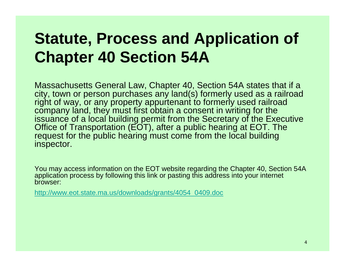# **Statute, Process and Application of Chapter 40 Section 54A**

Massachusetts General Law, Chapter 40, Section 54A states that if a city, town or person purchases any land(s) formerly used as a railroad right of way, or any property appurtenant to formerly used railroad company land, they must first obtain a consent in writing for the issuance of a local building permit from the Secretary of the Executive Office of Transportation (EOT), after a public hearing at EOT. The request for the public hearing must come from the local building inspector.

You may access information on the EOT website regarding the Chapter 40, Section 54A application process by following this link or pasting this address into your internet browser:

[http://www.eot.state.ma.us/downloads/grants/4054\\_0409.doc](http://www.eot.state.ma.us/downloads/grants/4054_0409.doc)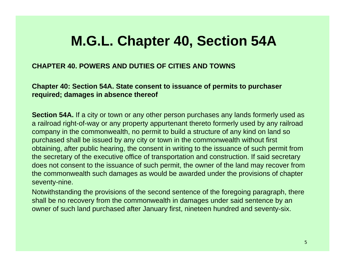## **M.G.L. Chapter 40, Section 54A**

### **CHAPTER 40. POWERS AND DUTIES OF CITIES AND TOWNS**

**Chapter 40: Section 54A. State consent to issuance of permits to purchaser required; damages in absence thereof** 

**Section 54A.** If a city or town or any other person purchases any lands formerly used as a railroad right-of-way or any property appurtenant thereto formerly used by any railroad company in the commonwealth, no permit to build a structure of any kind on land so purchased shall be issued by any city or town in the commonwealth without first obtaining, after public hearing, the consent in writing to the issuance of such permit from the secretary of the executive office of transportation and construction. If said secretary does not consent to the issuance of such permit, the owner of the land may recover from the commonwealth such damages as would be awarded under the provisions of chapter seventy-nine.

Notwithstanding the provisions of the second sentence of the foregoing paragraph, there shall be no recovery from the commonwealth in damages under said sentence by an owner of such land purchased after January first, nineteen hundred and seventy-six.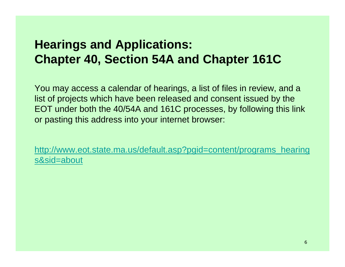## **Hearings and Applications: Chapter 40, Section 54A and Chapter 161C**

You may access a calendar of hearings, a list of files in review, and a list of projects which have been released and consent issued by the EOT under both the 40/54A and 161C processes, by following this link or pasting this address into your internet browser:

[http://www.eot.state.ma.us/default.asp?pgid=content/programs\\_hearing](http://www.eot.state.ma.us/default.asp?pgid=content/programs_hearings&sid=about)  [s&sid=about](http://www.eot.state.ma.us/default.asp?pgid=content/programs_hearings&sid=about)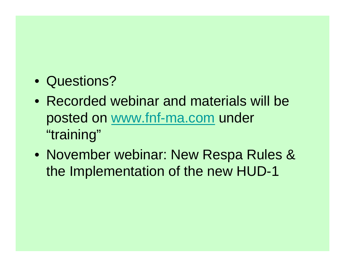## • Questions?

- Recorded webinar and materials will be posted on [www.fnf-ma.com](http://www.fnf-ma.com/) under "training"
- November webinar: New Respa Rules & the Implementation of the new HUD-1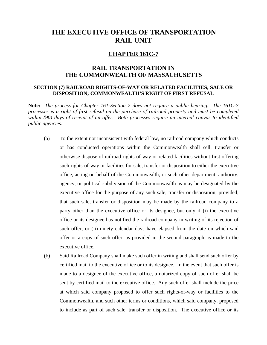### **THE EXECUTIVE OFFICE OF TRANSPORTATION RAIL UNIT**

#### **CHAPTER 161C-7**

#### **RAIL TRANSPORTATION IN THE COMMONWEALTH OF MASSACHUSETTS**

#### **SECTION (7) RAILROAD RIGHTS-OF-WAY OR RELATED FACILITIES; SALE OR DISPOSITION; COMMONWEALTH'S RIGHT OF FIRST REFUSAL**

**Note:** *The process for Chapter 161-Section 7 does not require a public hearing. The 161C-7 processes is a right of first refusal on the purchase of railroad property and must be completed within (90) days of receipt of an offer. Both processes require an internal canvas to identified public agencies*.

- (a) To the extent not inconsistent with federal law, no railroad company which conducts or has conducted operations within the Commonwealth shall sell, transfer or otherwise dispose of railroad rights-of-way or related facilities without first offering such rights-of-way or facilities for sale, transfer or disposition to either the executive office, acting on behalf of the Commonwealth, or such other department, authority, agency, or political subdivision of the Commonwealth as may be designated by the executive office for the purpose of any such sale, transfer or disposition; provided, that such sale, transfer or disposition may be made by the railroad company to a party other than the executive office or its designee, but only if (i) the executive office or its designee has notified the railroad company in writing of its rejection of such offer; or (ii) ninety calendar days have elapsed from the date on which said offer or a copy of such offer, as provided in the second paragraph, is made to the executive office.
- (b) Said Railroad Company shall make such offer in writing and shall send such offer by certified mail to the executive office or to its designee. In the event that such offer is made to a designee of the executive office, a notarized copy of such offer shall be sent by certified mail to the executive office. Any such offer shall include the price at which said company proposed to offer such rights-of-way or facilities to the Commonwealth, and such other terms or conditions, which said company, proposed to include as part of such sale, transfer or disposition. The executive office or its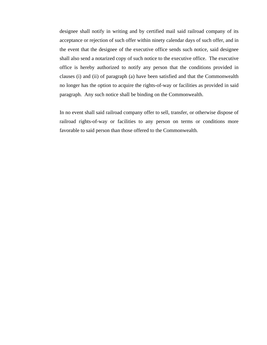designee shall notify in writing and by certified mail said railroad company of its acceptance or rejection of such offer within ninety calendar days of such offer, and in the event that the designee of the executive office sends such notice, said designee shall also send a notarized copy of such notice to the executive office. The executive office is hereby authorized to notify any person that the conditions provided in clauses (i) and (ii) of paragraph (a) have been satisfied and that the Commonwealth no longer has the option to acquire the rights-of-way or facilities as provided in said paragraph. Any such notice shall be binding on the Commonwealth.

In no event shall said railroad company offer to sell, transfer, or otherwise dispose of railroad rights-of-way or facilities to any person on terms or conditions more favorable to said person than those offered to the Commonwealth.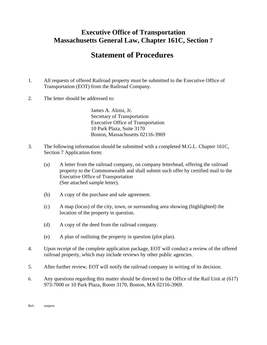### **Executive Office of Transportation Massachusetts General Law, Chapter 161C, Section 7**

## **Statement of Procedures**

- 1. All requests of offered Railroad property must be submitted to the Executive Office of Transportation (EOT) from the Railroad Company.
- 2. The letter should be addressed to:

James A. Aloisi, Jr. Secretary of Transportation Executive Office of Transportation 10 Park Plaza, Suite 3170 Boston, Massachusetts 02116-3969

- 3. The following information should be submitted with a completed M.G.L. Chapter 161C, Section 7 Application form:
	- (a) A letter from the railroad company, on company letterhead, offering the railroad property to the Commonwealth and shall submit such offer by certified mail to the Executive Office of Transportation (See attached sample letter).
	- (b) A copy of the purchase and sale agreement.
	- (c) A map (locus) of the city, town, or surrounding area showing (highlighted) the location of the property in question.
	- (d) A copy of the deed from the railroad company.
	- (e) A plan of outlining the property in question (plot plan).
- 4. Upon receipt of the complete application package, EOT will conduct a review of the offered railroad property, which may include reviews by other public agencies.
- 5. After further review, EOT will notify the railroad company in writing of its decision.
- 6. Any questions regarding this matter should be directed to the Office of the Rail Unit at (617) 973-7000 or 10 Park Plaza, Room 3170, Boston, MA 02116-3969.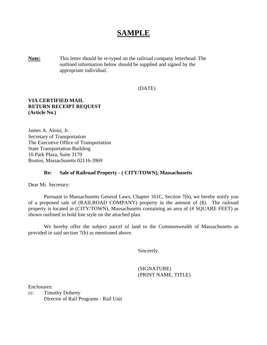## **SAMPLE**

**Note:** This letter should be re-typed on the railroad company letterhead. The outlined information below should be supplied and signed by the appropriate individual.

#### (DATE)

#### **VIA CERTIFIED MAIL RETURN RECEIPT REQUEST (Article No.)**

James A. Aloisi, Jr. Secretary of Transportation The Executive Office of Transportation State Transportation Building 10 Park Plaza, Suite 3170 Boston, Massachusetts 02116-3969

#### **Re: Sale of Railroad Property - ( CITY/TOWN), Massachusetts**

Dear Mr. Secretary:

 Pursuant to Massachusetts General Laws, Chapter 161C, Section 7(b), we hereby notify you of a proposed sale of (RAILROAD COMPANY) property in the amount of (\$). The railroad property is located in (CITY/TOWN), Massachusetts containing an area of (# SQUARE FEET) as shown outlined in bold line style on the attached plan.

 We hereby offer the subject parcel of land to the Commonwealth of Massachusetts as provided in said section 7(b) as mentioned above.

Sincerely,

 (SIGNATURE) (PRINT NAME, TITLE)

Enclosures:

cc: Timothy Doherty Director of Rail Programs - Rail Unit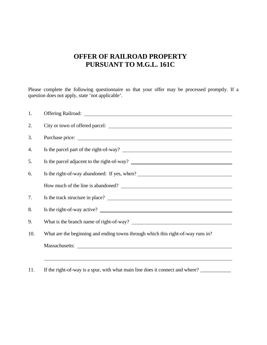### **OFFER OF RAILROAD PROPERTY PURSUANT TO M.G.L. 161C**

Please complete the following questionnaire so that your offer may be processed promptly. If a question does not apply, state 'not applicable'.

| 1.  |                                                                                  |  |  |  |
|-----|----------------------------------------------------------------------------------|--|--|--|
| 2.  |                                                                                  |  |  |  |
| 3.  |                                                                                  |  |  |  |
| 4.  |                                                                                  |  |  |  |
| 5.  |                                                                                  |  |  |  |
| 6.  |                                                                                  |  |  |  |
|     |                                                                                  |  |  |  |
| 7.  | Is the track structure in place?                                                 |  |  |  |
| 8.  | Is the right-of-way active?                                                      |  |  |  |
| 9.  |                                                                                  |  |  |  |
| 10. | What are the beginning and ending towns through which this right-of-way runs in? |  |  |  |
|     | Massachusetts:                                                                   |  |  |  |
|     |                                                                                  |  |  |  |

11. If the right-of-way is a spur, with what main line does it connect and where?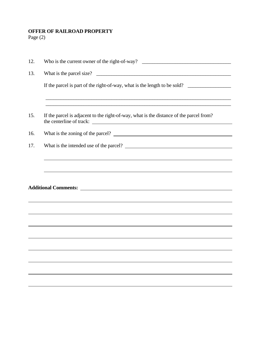#### **OFFER OF RAILROAD PROPERTY**

Page (2)

| 12. | Who is the current owner of the right-of-way? ___________________________________                                                                                                                  |  |  |  |  |
|-----|----------------------------------------------------------------------------------------------------------------------------------------------------------------------------------------------------|--|--|--|--|
| 13. | What is the parcel size?                                                                                                                                                                           |  |  |  |  |
|     | If the parcel is part of the right-of-way, what is the length to be sold?<br><u> 1999 - Johann Harry Harry Harry Harry Harry Harry Harry Harry Harry Harry Harry Harry Harry Harry Harry Harry</u> |  |  |  |  |
| 15. | ,我们也不能在这里的人,我们也不能在这里的人,我们也不能在这里的人,我们也不能在这里的人,我们也不能在这里的人,我们也不能在这里的人,我们也不能在这里的人,我们也<br>If the parcel is adjacent to the right-of-way, what is the distance of the parcel from?                       |  |  |  |  |
| 16. | What is the zoning of the parcel?                                                                                                                                                                  |  |  |  |  |
| 17. |                                                                                                                                                                                                    |  |  |  |  |
|     |                                                                                                                                                                                                    |  |  |  |  |
|     |                                                                                                                                                                                                    |  |  |  |  |
|     |                                                                                                                                                                                                    |  |  |  |  |
|     |                                                                                                                                                                                                    |  |  |  |  |
|     | ,我们也不会有什么。""我们的人,我们也不会有什么?""我们的人,我们也不会有什么?""我们的人,我们也不会有什么?""我们的人,我们也不会有什么?""我们的人                                                                                                                   |  |  |  |  |
|     |                                                                                                                                                                                                    |  |  |  |  |
|     |                                                                                                                                                                                                    |  |  |  |  |
|     |                                                                                                                                                                                                    |  |  |  |  |
|     |                                                                                                                                                                                                    |  |  |  |  |
|     |                                                                                                                                                                                                    |  |  |  |  |
|     |                                                                                                                                                                                                    |  |  |  |  |
|     |                                                                                                                                                                                                    |  |  |  |  |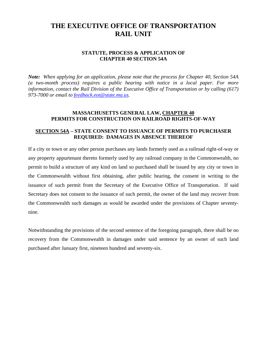### **THE EXECUTIVE OFFICE OF TRANSPORTATION RAIL UNIT**

#### **STATUTE, PROCESS & APPLICATION OF CHAPTER 40 SECTION 54A**

*Note: When applying for an application, please note that the process for Chapter 40, Section 54A (a two-month process) requires a public hearing with notice in a local paper. For more information, contact the Rail Division of the Executive Office of Transportation or by calling (617) 973-7000 or email to feedback.eot@state.ma.us.* 

#### **MASSACHUSETTS GENERAL LAW, CHAPTER 40 PERMITS FOR CONSTRUCTION ON RAILROAD RIGHTS-OF-WAY**

#### **SECTION 54A – STATE CONSENT TO ISSUANCE OF PERMITS TO PURCHASER REQUIRED: DAMAGES IN ABSENCE THEREOF**

If a city or town or any other person purchases any lands formerly used as a railroad right-of-way or any property appurtenant thereto formerly used by any railroad company in the Commonwealth, no permit to build a structure of any kind on land so purchased shall be issued by any city or town in the Commonwealth without first obtaining, after public hearing, the consent in writing to the issuance of such permit from the Secretary of the Executive Office of Transportation. If said Secretary does not consent to the issuance of such permit, the owner of the land may recover from the Commonwealth such damages as would be awarded under the provisions of Chapter seventynine.

Notwithstanding the provisions of the second sentence of the foregoing paragraph, there shall be no recovery from the Commonwealth in damages under said sentence by an owner of such land purchased after January first, nineteen hundred and seventy-six.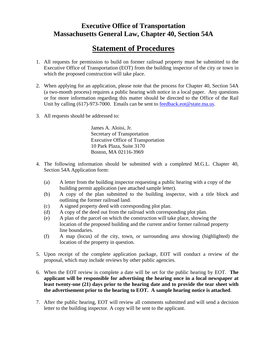### **Executive Office of Transportation Massachusetts General Law, Chapter 40, Section 54A**

## **Statement of Procedures**

- 1. All requests for permission to build on former railroad property must be submitted to the Executive Office of Transportation (EOT) from the building inspector of the city or town in which the proposed construction will take place.
- 2. When applying for an application, please note that the process for Chapter 40, Section 54A (a two-month process) requires a public hearing with notice in a local paper. Any questions or for more information regarding this matter should be directed to the Office of the Rail Unit by calling (617)-973-7000. Emails can be sent to feedback.eot@state.ma.us.
- 3. All requests should be addressed to:

 James A. Aloisi, Jr. Secretary of Transportation Executive Office of Transportation 10 Park Plaza, Suite 3170 Boston, MA 02116-3969

- 4. The following information should be submitted with a completed M.G.L. Chapter 40, Section 54A Application form:
	- (a) A letter from the building inspector requesting a public hearing with a copy of the building permit application (see attached sample letter).
	- (b) A copy of the plan submitted to the building inspector, with a title block and outlining the former railroad land.
	- (c) A signed property deed with corresponding plot plan.
	- (d) A copy of the deed out from the railroad with corresponding plot plan.
	- (e) A plan of the parcel on which the construction will take place, showing the location of the proposed building and the current and/or former railroad property line boundaries.
	- (f) A map (locus) of the city, town, or surrounding area showing (highlighted) the location of the property in question.
- 5. Upon receipt of the complete application package, EOT will conduct a review of the proposal, which may include reviews by other public agencies.
- 6. When the EOT review is complete a date will be set for the public hearing by EOT. **The applicant will be responsible for advertising the hearing once in a local newspaper at least twenty-one (21) days prior to the hearing date and to provide the tear sheet with the advertisement prior to the hearing to EOT. A sample hearing notice is attached**.
- 7. After the public hearing, EOT will review all comments submitted and will send a decision letter to the building inspector. A copy will be sent to the applicant.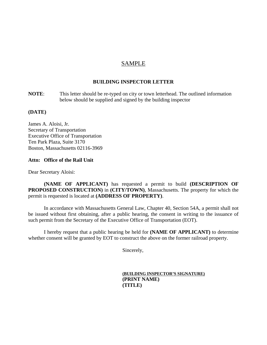#### SAMPLE

#### **BUILDING INSPECTOR LETTER**

**NOTE**: This letter should be re-typed on city or town letterhead. The outlined information below should be supplied and signed by the building inspector

#### **(DATE)**

James A. Aloisi, Jr. Secretary of Transportation Executive Office of Transportation Ten Park Plaza, Suite 3170 Boston, Massachusetts 02116-3969

#### **Attn: Office of the Rail Unit**

Dear Secretary Aloisi:

**(NAME OF APPLICANT)** has requested a permit to build **(DESCRIPTION OF PROPOSED CONSTRUCTION)** in **(CITY/TOWN)**, Massachusetts. The property for which the permit is requested is located at **(ADDRESS OF PROPERTY)**.

 In accordance with Massachusetts General Law, Chapter 40, Section 54A, a permit shall not be issued without first obtaining, after a public hearing, the consent in writing to the issuance of such permit from the Secretary of the Executive Office of Transportation (EOT).

 I hereby request that a public hearing be held for **(NAME OF APPLICANT)** to determine whether consent will be granted by EOT to construct the above on the former railroad property.

Sincerely,

**(BUILDING INSPECTOR'S SIGNATURE) (PRINT NAME) (TITLE)**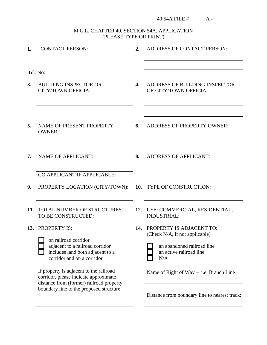|                                                                       |                                                                                                                                                                          |     | $40:54A$ FILE # $A -$                                                                          |  |  |  |  |
|-----------------------------------------------------------------------|--------------------------------------------------------------------------------------------------------------------------------------------------------------------------|-----|------------------------------------------------------------------------------------------------|--|--|--|--|
| M.G.L. CHAPTER 40, SECTION 54A, APPLICATION<br>(PLEASE TYPE OR PRINT) |                                                                                                                                                                          |     |                                                                                                |  |  |  |  |
| 1.                                                                    | <b>CONTACT PERSON:</b>                                                                                                                                                   | 2.  | <b>ADDRESS OF CONTACT PERSON:</b>                                                              |  |  |  |  |
| <b>3.</b>                                                             | Tel. No:<br><b>BUILDING INSPECTOR OR</b><br>CITY/TOWN OFFICIAL:                                                                                                          | 4.  | ADDRESS OF BUILDING INSPECTOR<br>OR CITY/TOWN OFFICIAL:                                        |  |  |  |  |
| 5.                                                                    | NAME OF PRESENT PROPERTY<br><b>OWNER:</b>                                                                                                                                | 6.  | <b>ADDRESS OF PROPERTY OWNER:</b>                                                              |  |  |  |  |
| 7.                                                                    | <b>NAME OF APPLICANT:</b>                                                                                                                                                | 8.  | <b>ADDRESS OF APPLICANT:</b>                                                                   |  |  |  |  |
|                                                                       | CO APPLICANT IF APPLICABLE:                                                                                                                                              |     |                                                                                                |  |  |  |  |
| 9.                                                                    | PROPERTY LOCATION (CITY/TOWN): 10. TYPE OF CONSTRUCTION:                                                                                                                 |     |                                                                                                |  |  |  |  |
| 11.                                                                   | TOTAL NUMBER OF STRUCTURES 12. USE: COMMERCIAL, RESIDENTIAL,<br>TO BE CONSTRUCTED:                                                                                       |     | <b>INDUSTRIAL:</b>                                                                             |  |  |  |  |
| 13.                                                                   | <b>PROPERTY IS:</b>                                                                                                                                                      | 14. | PROPERTY IS ADJACENT TO:                                                                       |  |  |  |  |
|                                                                       | on railroad corridor<br>adjacent to a railroad corridor<br>includes land both adjacent to a<br>corridor and on a corridor                                                |     | (Check N/A, if not applicable)<br>an abandoned railroad line<br>an active railroad line<br>N/A |  |  |  |  |
|                                                                       | If property is adjacent to the railroad<br>corridor, please indicate approximate<br>distance from (former) railroad property<br>boundary line to the proposed structure: |     | Name of Right of $Way - i.e.$ Branch Line                                                      |  |  |  |  |
|                                                                       |                                                                                                                                                                          |     | Distance from boundary line to nearest track:                                                  |  |  |  |  |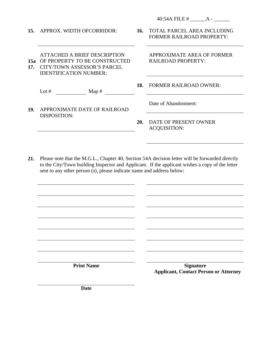| 15.        | APPROX. WIDTH OFCORRIDOR:                                                                                                            |            | $40:54A$ FILE # $A -$<br>16. TOTAL PARCEL AREA INCLUDING<br><b>FORMER RAILROAD PROPERTY:</b> |
|------------|--------------------------------------------------------------------------------------------------------------------------------------|------------|----------------------------------------------------------------------------------------------|
| 15а<br>17. | <b>ATTACHED A BRIEF DESCRIPTION</b><br>OF PROPERTY TO BE CONSTRUCTED<br>CITY/TOWN ASSESSOR'S PARCEL<br><b>IDENTIFICATION NUMBER:</b> |            | APPROXIMATE AREA OF FORMER<br>RAILROAD PROPERTY:                                             |
|            | Lot #<br>Map $#$                                                                                                                     | 18.        | <b>FORMER RAILROAD OWNER:</b>                                                                |
| 19.        | APPROXIMATE DATE OF RAILROAD<br><b>DISPOSITION:</b>                                                                                  |            | Date of Abandonment:                                                                         |
|            |                                                                                                                                      | <b>20.</b> | DATE OF PRESENT OWNER<br><b>ACQUISITION:</b>                                                 |

**21.** Please note that the M.G.L., Chapter 40, Section 54A decision letter will be forwarded directly to the City/Town building Inspector and Applicant. If the applicant wishes a copy of the letter sent to any other person (s), please indicate name and address below:

**Print Name** Signature  **Applicant, Contact Person or Attorney** 

**Date**